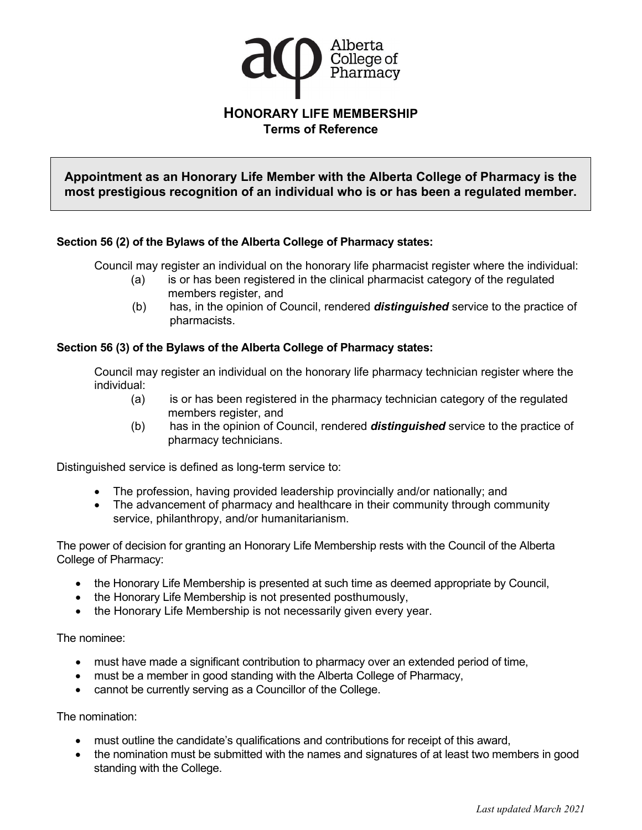

**Appointment as an Honorary Life Member with the Alberta College of Pharmacy is the most prestigious recognition of an individual who is or has been a regulated member.**

## **Section 56 (2) of the Bylaws of the Alberta College of Pharmacy states:**

Council may register an individual on the honorary life pharmacist register where the individual:

- (a) is or has been registered in the clinical pharmacist category of the regulated members register, and
- (b) has, in the opinion of Council, rendered *distinguished* service to the practice of pharmacists.

## **Section 56 (3) of the Bylaws of the Alberta College of Pharmacy states:**

Council may register an individual on the honorary life pharmacy technician register where the individual:

- (a) is or has been registered in the pharmacy technician category of the regulated members register, and
- (b) has in the opinion of Council, rendered *distinguished* service to the practice of pharmacy technicians.

Distinguished service is defined as long-term service to:

- The profession, having provided leadership provincially and/or nationally; and
- The advancement of pharmacy and healthcare in their community through community service, philanthropy, and/or humanitarianism.

The power of decision for granting an Honorary Life Membership rests with the Council of the Alberta College of Pharmacy:

- the Honorary Life Membership is presented at such time as deemed appropriate by Council,
- the Honorary Life Membership is not presented posthumously,
- the Honorary Life Membership is not necessarily given every year.

The nominee:

- must have made a significant contribution to pharmacy over an extended period of time,
- must be a member in good standing with the Alberta College of Pharmacy,
- cannot be currently serving as a Councillor of the College.

The nomination:

- must outline the candidate's qualifications and contributions for receipt of this award,
- the nomination must be submitted with the names and signatures of at least two members in good standing with the College.